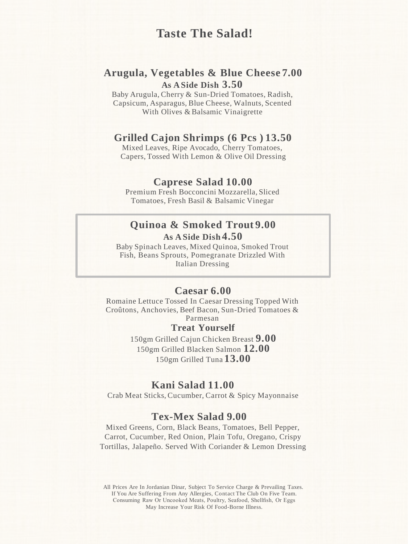# **Taste The Salad!**

## **Arugula, Vegetables & Blue Cheese 7.00 As A Side Dish 3.50**

Baby Arugula, Cherry & Sun-Dried Tomatoes, Radish, Capsicum, Asparagus, Blue Cheese, Walnuts, Scented With Olives & Balsamic Vinaigrette

### **Grilled Cajon Shrimps (6 Pcs ) 13.50**

Mixed Leaves, Ripe Avocado, Cherry Tomatoes, Capers, Tossed With Lemon & Olive Oil Dressing

### **Caprese Salad 10.00**

Premium Fresh Bocconcini Mozzarella, Sliced Tomatoes, Fresh Basil & Balsamic Vinegar

### **Quinoa & Smoked Trout 9.00 As A Side Dish 4.50**

Baby Spinach Leaves, Mixed Quinoa, Smoked Trout Fish, Beans Sprouts, Pomegranate Drizzled With Italian Dressing

### **Caesar 6.00**

Romaine Lettuce Tossed In Caesar Dressing Topped With Croûtons, Anchovies, Beef Bacon, Sun-Dried Tomatoes & Parmesan

**Treat Yourself**

150gm Grilled Cajun Chicken Breast **9.00**  150gm Grilled Blacken Salmon **12.00**  150gm Grilled Tuna **13.00**

### **Kani Salad 11.00**

Crab Meat Sticks, Cucumber, Carrot & Spicy Mayonnaise

## **Tex-Mex Salad 9.00**

Mixed Greens, Corn, Black Beans, Tomatoes, Bell Pepper, Carrot, Cucumber, Red Onion, Plain Tofu, Oregano, Crispy Tortillas, Jalapeño. Served With Coriander & Lemon Dressing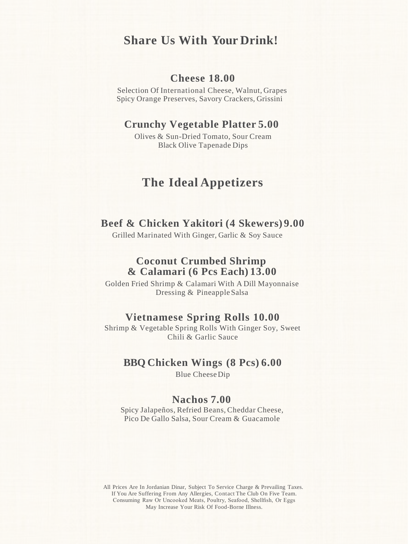## **Share Us With Your Drink!**

## **Cheese 18.00**

Selection Of International Cheese, Walnut, Grapes Spicy Orange Preserves, Savory Crackers, Grissini

## **Crunchy Vegetable Platter 5.00**

Olives & Sun-Dried Tomato, Sour Cream Black Olive Tapenade Dips

# **The Ideal Appetizers**

### **Beef & Chicken Yakitori (4 Skewers) 9.00**

Grilled Marinated With Ginger, Garlic & Soy Sauce

## **Coconut Crumbed Shrimp & Calamari (6 Pcs Each) 13.00**

Golden Fried Shrimp & Calamari With A Dill Mayonnaise Dressing & Pineapple Salsa

## **Vietnamese Spring Rolls 10.00**

Shrimp & Vegetable Spring Rolls With Ginger Soy, Sweet Chili & Garlic Sauce

### **BBQ Chicken Wings (8 Pcs) 6.00**

Blue CheeseDip

## **Nachos 7.00**

Spicy Jalapeños, Refried Beans, Cheddar Cheese, Pico De Gallo Salsa, Sour Cream & Guacamole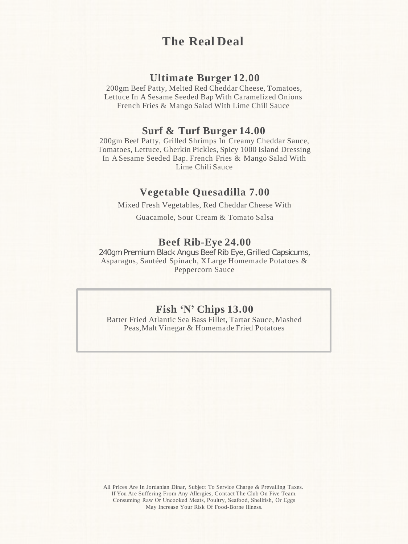# **The Real Deal**

## **Ultimate Burger 12.00**

200gm Beef Patty, Melted Red Cheddar Cheese, Tomatoes, Lettuce In A Sesame Seeded Bap With Caramelized Onions French Fries & Mango Salad With Lime Chili Sauce

### **Surf & Turf Burger 14.00**

200gm Beef Patty, Grilled Shrimps In Creamy Cheddar Sauce, Tomatoes, Lettuce, Gherkin Pickles, Spicy 1000 Island Dressing In A Sesame Seeded Bap. French Fries & Mango Salad With Lime Chili Sauce

### **Vegetable Quesadilla 7.00**

Mixed Fresh Vegetables, Red Cheddar Cheese With

Guacamole, Sour Cream & Tomato Salsa

## **Beef Rib-Eye 24.00**

240gm Premium Black Angus Beef Rib Eye, Grilled Capsicums, Asparagus, Sautéed Spinach, X Large Homemade Potatoes & Peppercorn Sauce

## **Fish 'N' Chips 13.00**

Batter Fried Atlantic Sea Bass Fillet, Tartar Sauce, Mashed Peas,Malt Vinegar & Homemade Fried Potatoes